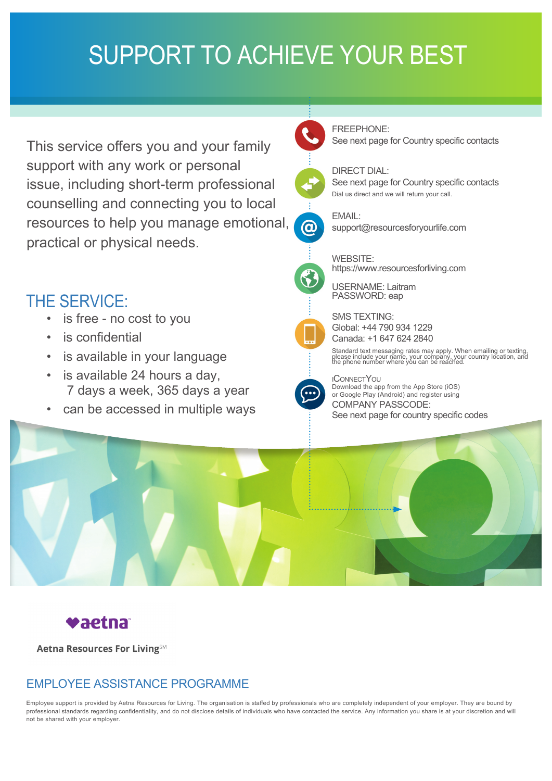## SUPPORT TO ACHIEVE YOUR BEST

This service offers you and your family support with any work or personal issue, including short-term professional counselling and connecting you to local resources to help you manage emotional, practical or physical needs.

## THE SERVICE:

- is free no cost to you
- is confidential
- is available in your language
- is available 24 hours a day, 7 days a week, 365 days a year
- can be accessed in multiple ways





DIRECT DIAL: See next page for Country specific contacts Dial us direct and we will return your call.



EMAIL:

support@resourcesforyourlife.com

WEBSITE: https://www.resourcesforliving.com

USERNAME: Laitram PASSWORD: eap



SMS TEXTING: Global: +44 790 934 1229 Canada: +1 647 624 2840

Standard text messaging rates may apply. When emailing or texting, please include your name, your company, your country location, and the phone number where you can be reached.



iConnectYou Download the app from the App Store (iOS) or Google Play (Android) and register using COMPANY PASSCODE: See next page for country specific codes





**Aetna Resources For LivingSM** 

## EMPLOYEE ASSISTANCE PROGRAMME

Employee support is provided by Aetna Resources for Living. The organisation is staffed by professionals who are completely independent of your employer. They are bound by professional standards regarding confidentiality, and do not disclose details of individuals who have contacted the service. Any information you share is at your discretion and will not be shared with your employer.